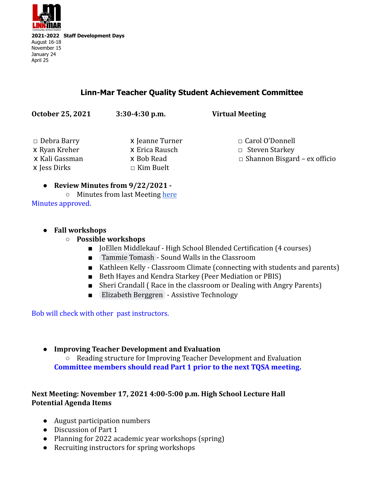

## **Linn-Mar Teacher Quality Student Achievement Committee**

| October 25, 2021               | $3:30-4:30$ p.m.               | <b>Virtual Meeting</b>              |
|--------------------------------|--------------------------------|-------------------------------------|
| $\Box$ Debra Barry             | x Jeanne Turner                | $\Box$ Carol O'Donnell              |
| x Ryan Kreher                  | x Erica Rausch                 | $\Box$ Steven Starkey               |
| x Kali Gassman<br>x Jess Dirks | x Bob Read<br>$\Box$ Kim Buelt | $\Box$ Shannon Bisgard – ex officio |

#### **● Review Minutes from 9/22/2021 -**

○ Minutes from last Meeting [here](https://docs.google.com/document/d/1y6QlltgI3gWS26q2coKdjbZ-o-6lkEq0c_I5FqVhQWk/edit) Minutes approved.

#### **● Fall workshops**

- **○ Possible workshops**
	- JoEllen Middlekauf High School Blended Certification (4 courses)
	- [Tammie Tomash](mailto:ttomash@linnmar.k12.ia.us) Sound Walls in the Classroom
	- Kathleen Kelly Classroom Climate (connecting with students and parents)
	- Beth Hayes and Kendra Starkey (Peer Mediation or PBIS)
	- Sheri Crandall (Race in the classroom or Dealing with Angry Parents)
	- [Elizabeth Berggren](mailto:eberggren@linnmar.k12.ia.us) Assistive Technology

Bob will check with other past instructors.

### **● Improving Teacher Development and Evaluation**

○ Reading structure for Improving Teacher Development and Evaluation **Committee members should read Part 1 prior to the next TQSA meeting.**

### **Next Meeting: November 17, 2021 4:00-5:00 p.m. High School Lecture Hall Potential Agenda Items**

- August participation numbers
- Discussion of Part 1
- Planning for 2022 academic year workshops (spring)
- Recruiting instructors for spring workshops